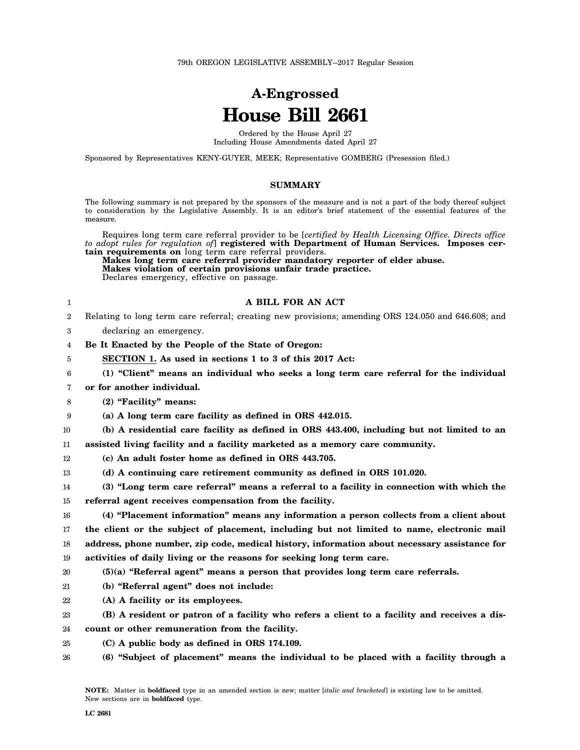# **A-Engrossed House Bill 2661**

Ordered by the House April 27 Including House Amendments dated April 27

Sponsored by Representatives KENY-GUYER, MEEK; Representative GOMBERG (Presession filed.)

#### **SUMMARY**

The following summary is not prepared by the sponsors of the measure and is not a part of the body thereof subject to consideration by the Legislative Assembly. It is an editor's brief statement of the essential features of the measure.

Requires long term care referral provider to be [*certified by Health Licensing Office. Directs office to adopt rules for regulation of*] **registered with Department of Human Services. Imposes certain requirements on** long term care referral providers.

**Makes long term care referral provider mandatory reporter of elder abuse. Makes violation of certain provisions unfair trade practice.** Declares emergency, effective on passage.

## **A BILL FOR AN ACT**

- 2 Relating to long term care referral; creating new provisions; amending ORS 124.050 and 646.608; and
- 3 declaring an emergency.

1

- 4 **Be It Enacted by the People of the State of Oregon:**
- 5 **SECTION 1. As used in sections 1 to 3 of this 2017 Act:**
- 6 **(1) "Client" means an individual who seeks a long term care referral for the individual**
- 7 **or for another individual.**
- 8 **(2) "Facility" means:**
- 9 **(a) A long term care facility as defined in ORS 442.015.**

10 11 **(b) A residential care facility as defined in ORS 443.400, including but not limited to an assisted living facility and a facility marketed as a memory care community.**

- 12 **(c) An adult foster home as defined in ORS 443.705.**
- 13 **(d) A continuing care retirement community as defined in ORS 101.020.**
- 14 15 **(3) "Long term care referral" means a referral to a facility in connection with which the referral agent receives compensation from the facility.**

16 17 18 19 **(4) "Placement information" means any information a person collects from a client about the client or the subject of placement, including but not limited to name, electronic mail address, phone number, zip code, medical history, information about necessary assistance for activities of daily living or the reasons for seeking long term care.**

- 20 **(5)(a) "Referral agent" means a person that provides long term care referrals.**
- 21 **(b) "Referral agent" does not include:**
- 22 **(A) A facility or its employees.**

23 24 **(B) A resident or patron of a facility who refers a client to a facility and receives a discount or other remuneration from the facility.**

- 25 **(C) A public body as defined in ORS 174.109.**
- 26 **(6) "Subject of placement" means the individual to be placed with a facility through a**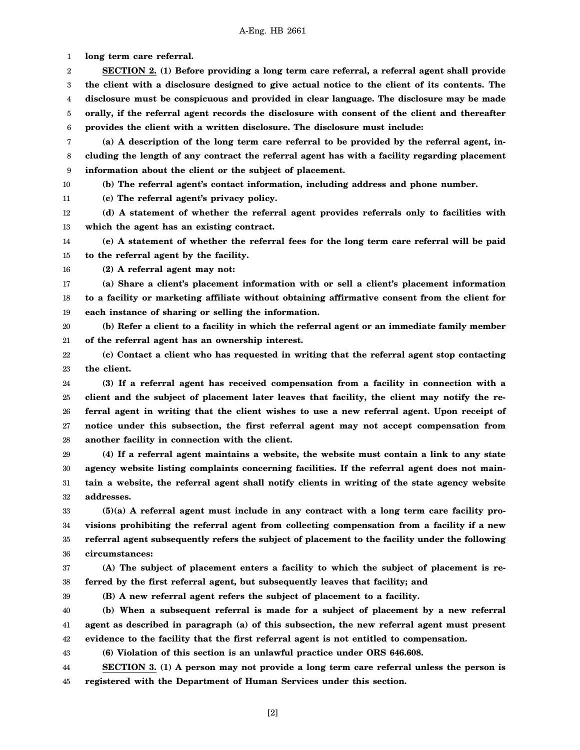1 **long term care referral.**

2 3 4 5 6 **SECTION 2. (1) Before providing a long term care referral, a referral agent shall provide the client with a disclosure designed to give actual notice to the client of its contents. The disclosure must be conspicuous and provided in clear language. The disclosure may be made orally, if the referral agent records the disclosure with consent of the client and thereafter provides the client with a written disclosure. The disclosure must include:**

7 8 9 **(a) A description of the long term care referral to be provided by the referral agent, including the length of any contract the referral agent has with a facility regarding placement information about the client or the subject of placement.**

10 **(b) The referral agent's contact information, including address and phone number.**

11 **(c) The referral agent's privacy policy.**

12 13 **(d) A statement of whether the referral agent provides referrals only to facilities with which the agent has an existing contract.**

14 15 **(e) A statement of whether the referral fees for the long term care referral will be paid to the referral agent by the facility.**

16 **(2) A referral agent may not:**

17 18 19 **(a) Share a client's placement information with or sell a client's placement information to a facility or marketing affiliate without obtaining affirmative consent from the client for each instance of sharing or selling the information.**

20 21 **(b) Refer a client to a facility in which the referral agent or an immediate family member of the referral agent has an ownership interest.**

22 23 **(c) Contact a client who has requested in writing that the referral agent stop contacting the client.**

24 25 26 27 28 **(3) If a referral agent has received compensation from a facility in connection with a client and the subject of placement later leaves that facility, the client may notify the referral agent in writing that the client wishes to use a new referral agent. Upon receipt of notice under this subsection, the first referral agent may not accept compensation from another facility in connection with the client.**

29 30 31 32 **(4) If a referral agent maintains a website, the website must contain a link to any state agency website listing complaints concerning facilities. If the referral agent does not maintain a website, the referral agent shall notify clients in writing of the state agency website addresses.**

33 34 35 36 **(5)(a) A referral agent must include in any contract with a long term care facility provisions prohibiting the referral agent from collecting compensation from a facility if a new referral agent subsequently refers the subject of placement to the facility under the following circumstances:**

37 38 **(A) The subject of placement enters a facility to which the subject of placement is referred by the first referral agent, but subsequently leaves that facility; and**

39

**(B) A new referral agent refers the subject of placement to a facility.**

40 41 42 **(b) When a subsequent referral is made for a subject of placement by a new referral agent as described in paragraph (a) of this subsection, the new referral agent must present evidence to the facility that the first referral agent is not entitled to compensation.**

43 **(6) Violation of this section is an unlawful practice under ORS 646.608.**

44 45 **SECTION 3. (1) A person may not provide a long term care referral unless the person is registered with the Department of Human Services under this section.**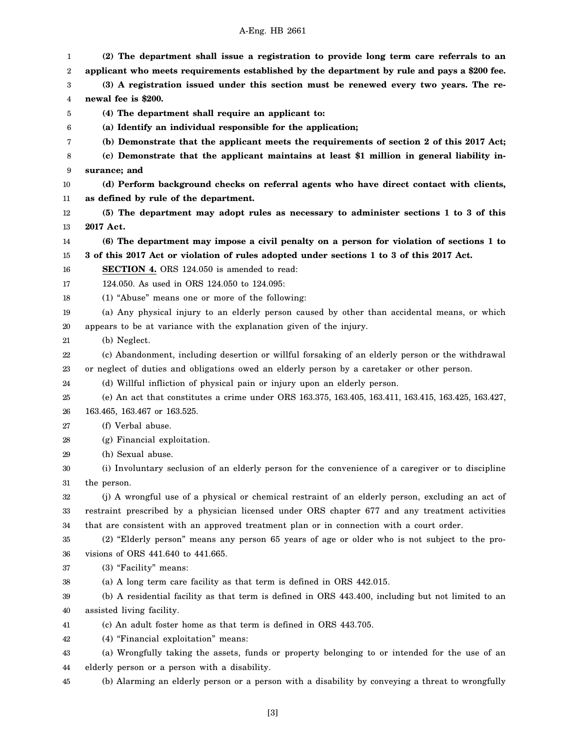| 1<br>2 | (2) The department shall issue a registration to provide long term care referrals to an<br>applicant who meets requirements established by the department by rule and pays a \$200 fee. |
|--------|-----------------------------------------------------------------------------------------------------------------------------------------------------------------------------------------|
| 3      | (3) A registration issued under this section must be renewed every two years. The re-                                                                                                   |
| 4      | newal fee is \$200.                                                                                                                                                                     |
| 5      | (4) The department shall require an applicant to:                                                                                                                                       |
| 6      | (a) Identify an individual responsible for the application;                                                                                                                             |
| 7      | (b) Demonstrate that the applicant meets the requirements of section 2 of this 2017 Act;                                                                                                |
| 8      | (c) Demonstrate that the applicant maintains at least \$1 million in general liability in-                                                                                              |
| 9      | surance; and                                                                                                                                                                            |
| 10     | (d) Perform background checks on referral agents who have direct contact with clients,                                                                                                  |
| 11     | as defined by rule of the department.                                                                                                                                                   |
| 12     | (5) The department may adopt rules as necessary to administer sections 1 to 3 of this                                                                                                   |
| 13     | 2017 Act.                                                                                                                                                                               |
| 14     | (6) The department may impose a civil penalty on a person for violation of sections 1 to                                                                                                |
| 15     | 3 of this 2017 Act or violation of rules adopted under sections 1 to 3 of this 2017 Act.                                                                                                |
| 16     | <b>SECTION 4.</b> ORS 124.050 is amended to read:                                                                                                                                       |
| 17     | 124.050. As used in ORS 124.050 to 124.095:                                                                                                                                             |
| 18     | (1) "Abuse" means one or more of the following:                                                                                                                                         |
| 19     | (a) Any physical injury to an elderly person caused by other than accidental means, or which                                                                                            |
| 20     | appears to be at variance with the explanation given of the injury.                                                                                                                     |
| 21     | (b) Neglect.                                                                                                                                                                            |
| 22     | (c) Abandonment, including desertion or willful forsaking of an elderly person or the withdrawal                                                                                        |
| 23     | or neglect of duties and obligations owed an elderly person by a caretaker or other person.                                                                                             |
| 24     | (d) Willful infliction of physical pain or injury upon an elderly person.                                                                                                               |
| 25     | (e) An act that constitutes a crime under ORS 163.375, 163.405, 163.411, 163.415, 163.425, 163.427,                                                                                     |
| 26     | 163.465, 163.467 or 163.525.                                                                                                                                                            |
| 27     | (f) Verbal abuse.                                                                                                                                                                       |
| 28     | (g) Financial exploitation.                                                                                                                                                             |
| 29     | (h) Sexual abuse.                                                                                                                                                                       |
| 30     | (i) Involuntary seclusion of an elderly person for the convenience of a caregiver or to discipline                                                                                      |
| 31     | the person.                                                                                                                                                                             |
| 32     | (j) A wrongful use of a physical or chemical restraint of an elderly person, excluding an act of                                                                                        |
| 33     | restraint prescribed by a physician licensed under ORS chapter 677 and any treatment activities                                                                                         |
| 34     | that are consistent with an approved treatment plan or in connection with a court order.                                                                                                |
| 35     | (2) "Elderly person" means any person 65 years of age or older who is not subject to the pro-                                                                                           |
| 36     | visions of ORS 441.640 to 441.665.                                                                                                                                                      |
| 37     | (3) "Facility" means:                                                                                                                                                                   |
| 38     | (a) A long term care facility as that term is defined in ORS 442.015.                                                                                                                   |
| 39     | (b) A residential facility as that term is defined in ORS 443.400, including but not limited to an                                                                                      |
| 40     | assisted living facility.                                                                                                                                                               |
| 41     | (c) An adult foster home as that term is defined in ORS 443.705.                                                                                                                        |
| 42     | (4) "Financial exploitation" means:                                                                                                                                                     |
| 43     | (a) Wrongfully taking the assets, funds or property belonging to or intended for the use of an                                                                                          |
| 44     | elderly person or a person with a disability.                                                                                                                                           |
| 45     | (b) Alarming an elderly person or a person with a disability by conveying a threat to wrongfully                                                                                        |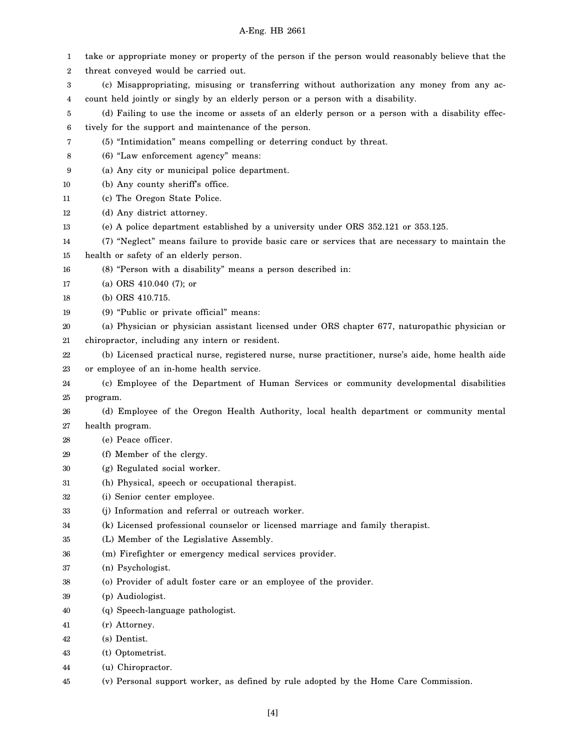| 1  | take or appropriate money or property of the person if the person would reasonably believe that the |
|----|-----------------------------------------------------------------------------------------------------|
| 2  | threat conveyed would be carried out.                                                               |
| 3  | (c) Misappropriating, misusing or transferring without authorization any money from any ac-         |
| 4  | count held jointly or singly by an elderly person or a person with a disability.                    |
| 5  | (d) Failing to use the income or assets of an elderly person or a person with a disability effec-   |
| 6  | tively for the support and maintenance of the person.                                               |
| 7  | (5) "Intimidation" means compelling or deterring conduct by threat.                                 |
| 8  | (6) "Law enforcement agency" means:                                                                 |
| 9  | (a) Any city or municipal police department.                                                        |
| 10 | (b) Any county sheriff's office.                                                                    |
| 11 | (c) The Oregon State Police.                                                                        |
| 12 | (d) Any district attorney.                                                                          |
| 13 | (e) A police department established by a university under ORS 352.121 or 353.125.                   |
| 14 | (7) "Neglect" means failure to provide basic care or services that are necessary to maintain the    |
| 15 | health or safety of an elderly person.                                                              |
| 16 | (8) "Person with a disability" means a person described in:                                         |
| 17 | (a) ORS 410.040 (7); or                                                                             |
| 18 | (b) ORS 410.715.                                                                                    |
| 19 | (9) "Public or private official" means:                                                             |
| 20 | (a) Physician or physician assistant licensed under ORS chapter 677, naturopathic physician or      |
| 21 | chiropractor, including any intern or resident.                                                     |
| 22 | (b) Licensed practical nurse, registered nurse, nurse practitioner, nurse's aide, home health aide  |
| 23 | or employee of an in-home health service.                                                           |
| 24 | (c) Employee of the Department of Human Services or community developmental disabilities            |
| 25 | program.                                                                                            |
| 26 | (d) Employee of the Oregon Health Authority, local health department or community mental            |
| 27 | health program.                                                                                     |
| 28 | (e) Peace officer.                                                                                  |
| 29 | (f) Member of the clergy.                                                                           |
| 30 | (g) Regulated social worker.                                                                        |
| 31 | (h) Physical, speech or occupational therapist.                                                     |
| 32 | (i) Senior center employee.                                                                         |
| 33 | (j) Information and referral or outreach worker.                                                    |
| 34 | (k) Licensed professional counselor or licensed marriage and family therapist.                      |
| 35 | (L) Member of the Legislative Assembly.                                                             |
| 36 | (m) Firefighter or emergency medical services provider.                                             |
| 37 | (n) Psychologist.                                                                                   |
| 38 | (o) Provider of adult foster care or an employee of the provider.                                   |
| 39 | (p) Audiologist.                                                                                    |
| 40 | (q) Speech-language pathologist.                                                                    |
| 41 | (r) Attorney.                                                                                       |
| 42 | (s) Dentist.                                                                                        |
| 43 | (t) Optometrist.                                                                                    |
| 44 | (u) Chiropractor.                                                                                   |
| 45 | (v) Personal support worker, as defined by rule adopted by the Home Care Commission.                |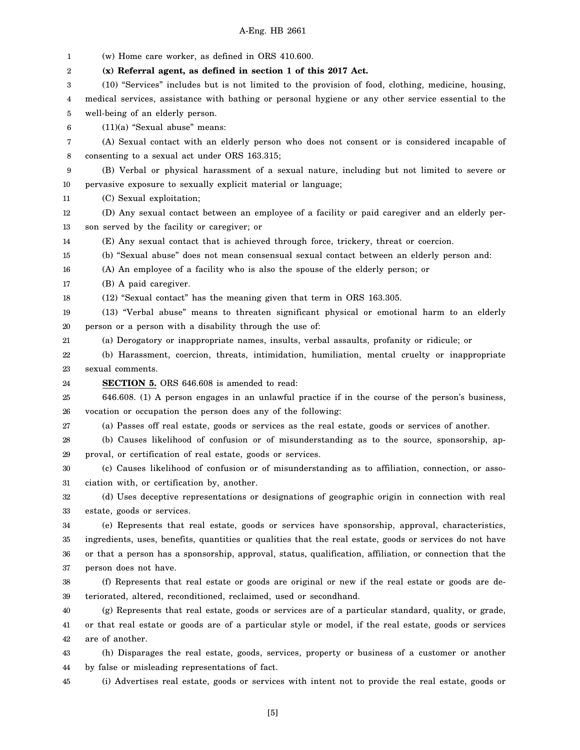1 2 3 4 5 6 7 8 9 10 11 12 13 14 15 16 17 18 19 20 21 22 23 24 25 26 27 28 29 30 31 32 33 34 35 36 37 38 39 40 41 42 43 44 45 (w) Home care worker, as defined in ORS 410.600. **(x) Referral agent, as defined in section 1 of this 2017 Act.** (10) "Services" includes but is not limited to the provision of food, clothing, medicine, housing, medical services, assistance with bathing or personal hygiene or any other service essential to the well-being of an elderly person. (11)(a) "Sexual abuse" means: (A) Sexual contact with an elderly person who does not consent or is considered incapable of consenting to a sexual act under ORS 163.315; (B) Verbal or physical harassment of a sexual nature, including but not limited to severe or pervasive exposure to sexually explicit material or language; (C) Sexual exploitation; (D) Any sexual contact between an employee of a facility or paid caregiver and an elderly person served by the facility or caregiver; or (E) Any sexual contact that is achieved through force, trickery, threat or coercion. (b) "Sexual abuse" does not mean consensual sexual contact between an elderly person and: (A) An employee of a facility who is also the spouse of the elderly person; or (B) A paid caregiver. (12) "Sexual contact" has the meaning given that term in ORS 163.305. (13) "Verbal abuse" means to threaten significant physical or emotional harm to an elderly person or a person with a disability through the use of: (a) Derogatory or inappropriate names, insults, verbal assaults, profanity or ridicule; or (b) Harassment, coercion, threats, intimidation, humiliation, mental cruelty or inappropriate sexual comments. **SECTION 5.** ORS 646.608 is amended to read: 646.608. (1) A person engages in an unlawful practice if in the course of the person's business, vocation or occupation the person does any of the following: (a) Passes off real estate, goods or services as the real estate, goods or services of another. (b) Causes likelihood of confusion or of misunderstanding as to the source, sponsorship, approval, or certification of real estate, goods or services. (c) Causes likelihood of confusion or of misunderstanding as to affiliation, connection, or association with, or certification by, another. (d) Uses deceptive representations or designations of geographic origin in connection with real estate, goods or services. (e) Represents that real estate, goods or services have sponsorship, approval, characteristics, ingredients, uses, benefits, quantities or qualities that the real estate, goods or services do not have or that a person has a sponsorship, approval, status, qualification, affiliation, or connection that the person does not have. (f) Represents that real estate or goods are original or new if the real estate or goods are deteriorated, altered, reconditioned, reclaimed, used or secondhand. (g) Represents that real estate, goods or services are of a particular standard, quality, or grade, or that real estate or goods are of a particular style or model, if the real estate, goods or services are of another. (h) Disparages the real estate, goods, services, property or business of a customer or another by false or misleading representations of fact. (i) Advertises real estate, goods or services with intent not to provide the real estate, goods or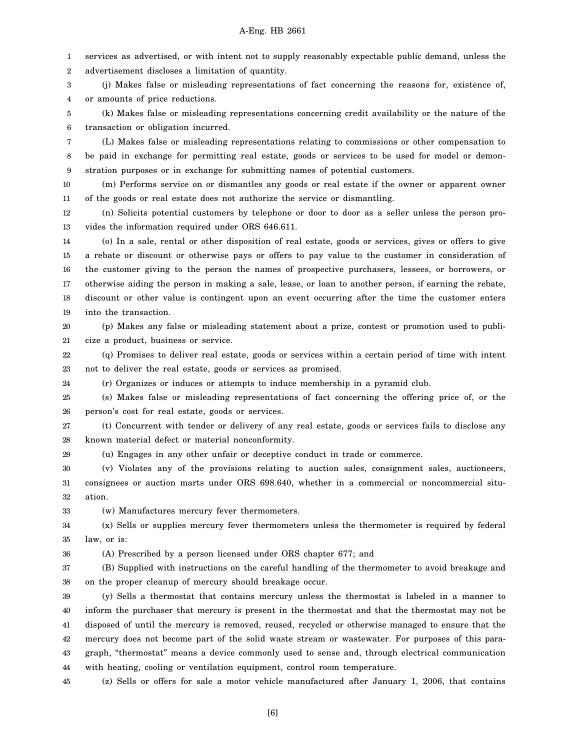1 2 services as advertised, or with intent not to supply reasonably expectable public demand, unless the advertisement discloses a limitation of quantity.

3 4 (j) Makes false or misleading representations of fact concerning the reasons for, existence of, or amounts of price reductions.

5 6 (k) Makes false or misleading representations concerning credit availability or the nature of the transaction or obligation incurred.

7 8 9 (L) Makes false or misleading representations relating to commissions or other compensation to be paid in exchange for permitting real estate, goods or services to be used for model or demonstration purposes or in exchange for submitting names of potential customers.

10 11 (m) Performs service on or dismantles any goods or real estate if the owner or apparent owner of the goods or real estate does not authorize the service or dismantling.

12 13 (n) Solicits potential customers by telephone or door to door as a seller unless the person provides the information required under ORS 646.611.

14 15 16 17 18 19 (o) In a sale, rental or other disposition of real estate, goods or services, gives or offers to give a rebate or discount or otherwise pays or offers to pay value to the customer in consideration of the customer giving to the person the names of prospective purchasers, lessees, or borrowers, or otherwise aiding the person in making a sale, lease, or loan to another person, if earning the rebate, discount or other value is contingent upon an event occurring after the time the customer enters into the transaction.

20 21 (p) Makes any false or misleading statement about a prize, contest or promotion used to publicize a product, business or service.

22 23 (q) Promises to deliver real estate, goods or services within a certain period of time with intent not to deliver the real estate, goods or services as promised.

24 (r) Organizes or induces or attempts to induce membership in a pyramid club.

25 26 (s) Makes false or misleading representations of fact concerning the offering price of, or the person's cost for real estate, goods or services.

27 28 (t) Concurrent with tender or delivery of any real estate, goods or services fails to disclose any known material defect or material nonconformity.

29 (u) Engages in any other unfair or deceptive conduct in trade or commerce.

30 31 32 (v) Violates any of the provisions relating to auction sales, consignment sales, auctioneers, consignees or auction marts under ORS 698.640, whether in a commercial or noncommercial situation.

33 (w) Manufactures mercury fever thermometers.

34 35 (x) Sells or supplies mercury fever thermometers unless the thermometer is required by federal law, or is:

36 (A) Prescribed by a person licensed under ORS chapter 677; and

37 38 (B) Supplied with instructions on the careful handling of the thermometer to avoid breakage and on the proper cleanup of mercury should breakage occur.

39 40 41 42 43 44 (y) Sells a thermostat that contains mercury unless the thermostat is labeled in a manner to inform the purchaser that mercury is present in the thermostat and that the thermostat may not be disposed of until the mercury is removed, reused, recycled or otherwise managed to ensure that the mercury does not become part of the solid waste stream or wastewater. For purposes of this paragraph, "thermostat" means a device commonly used to sense and, through electrical communication with heating, cooling or ventilation equipment, control room temperature.

45 (z) Sells or offers for sale a motor vehicle manufactured after January 1, 2006, that contains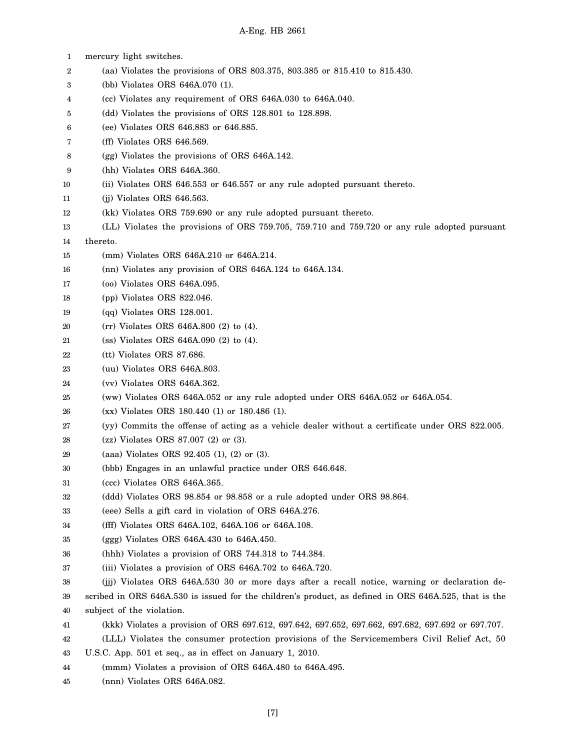- 1 2 3 4 5 6 7 8 9 10 11 12 13 14 15 16 17 18 19 20 21 22 23 24 25 26 27 28 29 30 31 32 33 34 35 36 37 38 39 40 41 42 43 44 mercury light switches. (aa) Violates the provisions of ORS 803.375, 803.385 or 815.410 to 815.430. (bb) Violates ORS 646A.070 (1). (cc) Violates any requirement of ORS 646A.030 to 646A.040. (dd) Violates the provisions of ORS 128.801 to 128.898. (ee) Violates ORS 646.883 or 646.885. (ff) Violates ORS 646.569. (gg) Violates the provisions of ORS 646A.142. (hh) Violates ORS 646A.360. (ii) Violates ORS 646.553 or 646.557 or any rule adopted pursuant thereto. (jj) Violates ORS 646.563. (kk) Violates ORS 759.690 or any rule adopted pursuant thereto. (LL) Violates the provisions of ORS 759.705, 759.710 and 759.720 or any rule adopted pursuant thereto. (mm) Violates ORS 646A.210 or 646A.214. (nn) Violates any provision of ORS 646A.124 to 646A.134. (oo) Violates ORS 646A.095. (pp) Violates ORS 822.046. (qq) Violates ORS 128.001. (rr) Violates ORS 646A.800 (2) to (4). (ss) Violates ORS 646A.090 (2) to (4). (tt) Violates ORS 87.686. (uu) Violates ORS 646A.803. (vv) Violates ORS 646A.362. (ww) Violates ORS 646A.052 or any rule adopted under ORS 646A.052 or 646A.054. (xx) Violates ORS 180.440 (1) or 180.486 (1). (yy) Commits the offense of acting as a vehicle dealer without a certificate under ORS 822.005. (zz) Violates ORS 87.007 (2) or (3). (aaa) Violates ORS 92.405 (1), (2) or (3). (bbb) Engages in an unlawful practice under ORS 646.648. (ccc) Violates ORS 646A.365. (ddd) Violates ORS 98.854 or 98.858 or a rule adopted under ORS 98.864. (eee) Sells a gift card in violation of ORS 646A.276. (fff) Violates ORS 646A.102, 646A.106 or 646A.108. (ggg) Violates ORS 646A.430 to 646A.450. (hhh) Violates a provision of ORS 744.318 to 744.384. (iii) Violates a provision of ORS 646A.702 to 646A.720. (jjj) Violates ORS 646A.530 30 or more days after a recall notice, warning or declaration described in ORS 646A.530 is issued for the children's product, as defined in ORS 646A.525, that is the subject of the violation. (kkk) Violates a provision of ORS 697.612, 697.642, 697.652, 697.662, 697.682, 697.692 or 697.707. (LLL) Violates the consumer protection provisions of the Servicemembers Civil Relief Act, 50 U.S.C. App. 501 et seq., as in effect on January 1, 2010. (mmm) Violates a provision of ORS 646A.480 to 646A.495.
- 45 (nnn) Violates ORS 646A.082.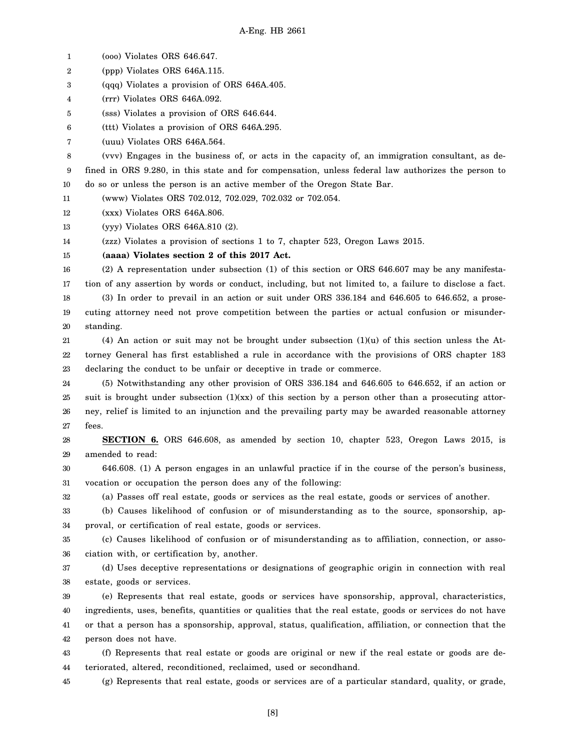1 (ooo) Violates ORS 646.647.

2 (ppp) Violates ORS 646A.115.

3 (qqq) Violates a provision of ORS 646A.405.

4 (rrr) Violates ORS 646A.092.

5 (sss) Violates a provision of ORS 646.644.

6 (ttt) Violates a provision of ORS 646A.295.

7 (uuu) Violates ORS 646A.564.

8 9 10 (vvv) Engages in the business of, or acts in the capacity of, an immigration consultant, as defined in ORS 9.280, in this state and for compensation, unless federal law authorizes the person to do so or unless the person is an active member of the Oregon State Bar.

11 (www) Violates ORS 702.012, 702.029, 702.032 or 702.054.

12 (xxx) Violates ORS 646A.806.

13 (yyy) Violates ORS 646A.810 (2).

14 (zzz) Violates a provision of sections 1 to 7, chapter 523, Oregon Laws 2015.

15 **(aaaa) Violates section 2 of this 2017 Act.**

16 17 (2) A representation under subsection (1) of this section or ORS 646.607 may be any manifestation of any assertion by words or conduct, including, but not limited to, a failure to disclose a fact.

18 19 20 (3) In order to prevail in an action or suit under ORS 336.184 and 646.605 to 646.652, a prosecuting attorney need not prove competition between the parties or actual confusion or misunderstanding.

21 22 23 (4) An action or suit may not be brought under subsection  $(1)(u)$  of this section unless the Attorney General has first established a rule in accordance with the provisions of ORS chapter 183 declaring the conduct to be unfair or deceptive in trade or commerce.

24 25 26 27 (5) Notwithstanding any other provision of ORS 336.184 and 646.605 to 646.652, if an action or suit is brought under subsection  $(1)(xx)$  of this section by a person other than a prosecuting attorney, relief is limited to an injunction and the prevailing party may be awarded reasonable attorney fees.

28 29 **SECTION 6.** ORS 646.608, as amended by section 10, chapter 523, Oregon Laws 2015, is amended to read:

30 31 646.608. (1) A person engages in an unlawful practice if in the course of the person's business, vocation or occupation the person does any of the following:

32

(a) Passes off real estate, goods or services as the real estate, goods or services of another.

33 34 (b) Causes likelihood of confusion or of misunderstanding as to the source, sponsorship, approval, or certification of real estate, goods or services.

35 36 (c) Causes likelihood of confusion or of misunderstanding as to affiliation, connection, or association with, or certification by, another.

37 38 (d) Uses deceptive representations or designations of geographic origin in connection with real estate, goods or services.

39 40 41 42 (e) Represents that real estate, goods or services have sponsorship, approval, characteristics, ingredients, uses, benefits, quantities or qualities that the real estate, goods or services do not have or that a person has a sponsorship, approval, status, qualification, affiliation, or connection that the person does not have.

43 44 (f) Represents that real estate or goods are original or new if the real estate or goods are deteriorated, altered, reconditioned, reclaimed, used or secondhand.

45 (g) Represents that real estate, goods or services are of a particular standard, quality, or grade,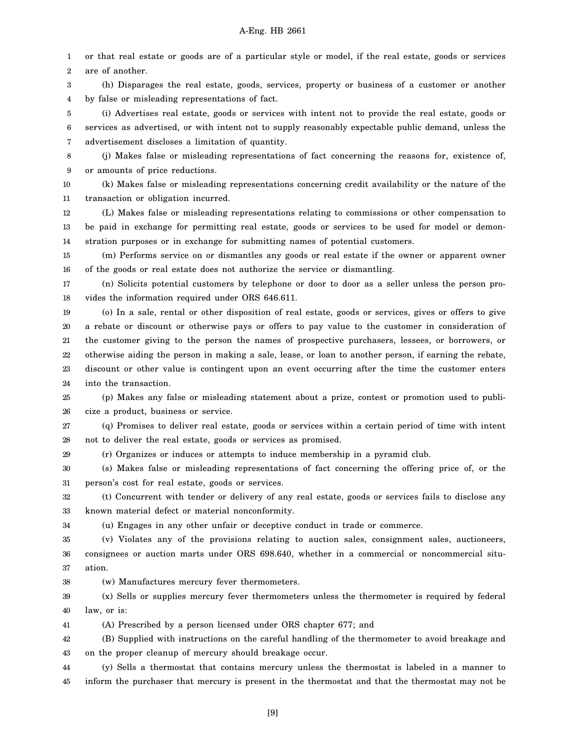1 2 or that real estate or goods are of a particular style or model, if the real estate, goods or services are of another.

3 4 (h) Disparages the real estate, goods, services, property or business of a customer or another by false or misleading representations of fact.

5 6 7 (i) Advertises real estate, goods or services with intent not to provide the real estate, goods or services as advertised, or with intent not to supply reasonably expectable public demand, unless the advertisement discloses a limitation of quantity.

8 9 (j) Makes false or misleading representations of fact concerning the reasons for, existence of, or amounts of price reductions.

10 11 (k) Makes false or misleading representations concerning credit availability or the nature of the transaction or obligation incurred.

12 13 14 (L) Makes false or misleading representations relating to commissions or other compensation to be paid in exchange for permitting real estate, goods or services to be used for model or demonstration purposes or in exchange for submitting names of potential customers.

15 16 (m) Performs service on or dismantles any goods or real estate if the owner or apparent owner of the goods or real estate does not authorize the service or dismantling.

17 18 (n) Solicits potential customers by telephone or door to door as a seller unless the person provides the information required under ORS 646.611.

19 20 21 22 23 24 (o) In a sale, rental or other disposition of real estate, goods or services, gives or offers to give a rebate or discount or otherwise pays or offers to pay value to the customer in consideration of the customer giving to the person the names of prospective purchasers, lessees, or borrowers, or otherwise aiding the person in making a sale, lease, or loan to another person, if earning the rebate, discount or other value is contingent upon an event occurring after the time the customer enters into the transaction.

25 26 (p) Makes any false or misleading statement about a prize, contest or promotion used to publicize a product, business or service.

27 28 (q) Promises to deliver real estate, goods or services within a certain period of time with intent not to deliver the real estate, goods or services as promised.

29 (r) Organizes or induces or attempts to induce membership in a pyramid club.

30 31 (s) Makes false or misleading representations of fact concerning the offering price of, or the person's cost for real estate, goods or services.

32 33 (t) Concurrent with tender or delivery of any real estate, goods or services fails to disclose any known material defect or material nonconformity.

34

(u) Engages in any other unfair or deceptive conduct in trade or commerce.

35 36 37 (v) Violates any of the provisions relating to auction sales, consignment sales, auctioneers, consignees or auction marts under ORS 698.640, whether in a commercial or noncommercial situation.

38 (w) Manufactures mercury fever thermometers.

39 40 (x) Sells or supplies mercury fever thermometers unless the thermometer is required by federal law, or is:

41 (A) Prescribed by a person licensed under ORS chapter 677; and

42 43 (B) Supplied with instructions on the careful handling of the thermometer to avoid breakage and on the proper cleanup of mercury should breakage occur.

44 45 (y) Sells a thermostat that contains mercury unless the thermostat is labeled in a manner to inform the purchaser that mercury is present in the thermostat and that the thermostat may not be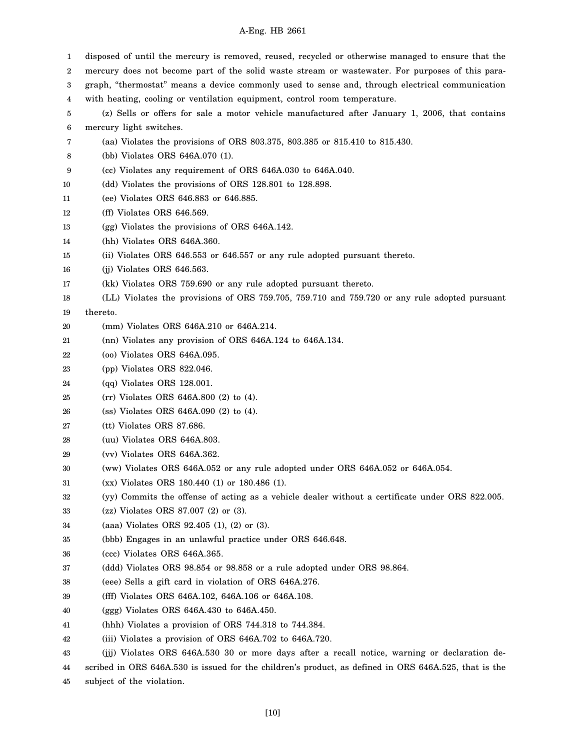| 1  | disposed of until the mercury is removed, reused, recycled or otherwise managed to ensure that the    |
|----|-------------------------------------------------------------------------------------------------------|
| 2  | mercury does not become part of the solid waste stream or wastewater. For purposes of this para-      |
| 3  | graph, "thermostat" means a device commonly used to sense and, through electrical communication       |
| 4  | with heating, cooling or ventilation equipment, control room temperature.                             |
| 5  | (z) Sells or offers for sale a motor vehicle manufactured after January 1, 2006, that contains        |
| 6  | mercury light switches.                                                                               |
| 7  | (aa) Violates the provisions of ORS 803.375, 803.385 or 815.410 to 815.430.                           |
| 8  | (bb) Violates ORS 646A.070 (1).                                                                       |
| 9  | (cc) Violates any requirement of ORS 646A.030 to 646A.040.                                            |
| 10 | (dd) Violates the provisions of ORS 128.801 to 128.898.                                               |
| 11 | (ee) Violates ORS 646.883 or 646.885.                                                                 |
| 12 | (ff) Violates ORS 646.569.                                                                            |
| 13 | (gg) Violates the provisions of ORS 646A.142.                                                         |
| 14 | (hh) Violates ORS 646A.360.                                                                           |
| 15 | (ii) Violates ORS 646.553 or 646.557 or any rule adopted pursuant thereto.                            |
| 16 | (ij) Violates ORS 646.563.                                                                            |
| 17 | (kk) Violates ORS 759.690 or any rule adopted pursuant thereto.                                       |
| 18 | (LL) Violates the provisions of ORS 759.705, 759.710 and 759.720 or any rule adopted pursuant         |
| 19 | thereto.                                                                                              |
| 20 | (mm) Violates ORS 646A.210 or 646A.214.                                                               |
| 21 | (nn) Violates any provision of ORS 646A.124 to 646A.134.                                              |
| 22 | (oo) Violates ORS 646A.095.                                                                           |
| 23 | (pp) Violates ORS 822.046.                                                                            |
| 24 | $(qq)$ Violates ORS 128.001.                                                                          |
| 25 | (rr) Violates ORS 646A.800 (2) to (4).                                                                |
| 26 | $(s)$ Violates ORS 646A.090 (2) to (4).                                                               |
| 27 | (tt) Violates ORS 87.686.                                                                             |
| 28 | (uu) Violates ORS 646A.803.                                                                           |
| 29 | (vv) Violates ORS 646A.362.                                                                           |
| 30 | (ww) Violates ORS 646A.052 or any rule adopted under ORS 646A.052 or 646A.054.                        |
| 31 | (xx) Violates ORS 180.440 (1) or 180.486 (1).                                                         |
| 32 | (yy) Commits the offense of acting as a vehicle dealer without a certificate under ORS 822.005.       |
| 33 | (zz) Violates ORS 87.007 (2) or (3).                                                                  |
| 34 | (aaa) Violates ORS 92.405 (1), (2) or (3).                                                            |
| 35 | (bbb) Engages in an unlawful practice under ORS 646.648.                                              |
| 36 | (ccc) Violates ORS 646A.365.                                                                          |
| 37 | (ddd) Violates ORS 98.854 or 98.858 or a rule adopted under ORS 98.864.                               |
| 38 | (eee) Sells a gift card in violation of ORS 646A.276.                                                 |
| 39 | (fff) Violates ORS 646A.102, 646A.106 or 646A.108.                                                    |
| 40 | (ggg) Violates ORS $646A.430$ to $646A.450$ .                                                         |
| 41 | (hhh) Violates a provision of ORS 744.318 to 744.384.                                                 |
| 42 | (iii) Violates a provision of ORS 646A.702 to 646A.720.                                               |
| 43 | (ijj) Violates ORS 646A.530 30 or more days after a recall notice, warning or declaration de-         |
| 44 | scribed in ORS 646A.530 is issued for the children's product, as defined in ORS 646A.525, that is the |
| 45 | subject of the violation.                                                                             |